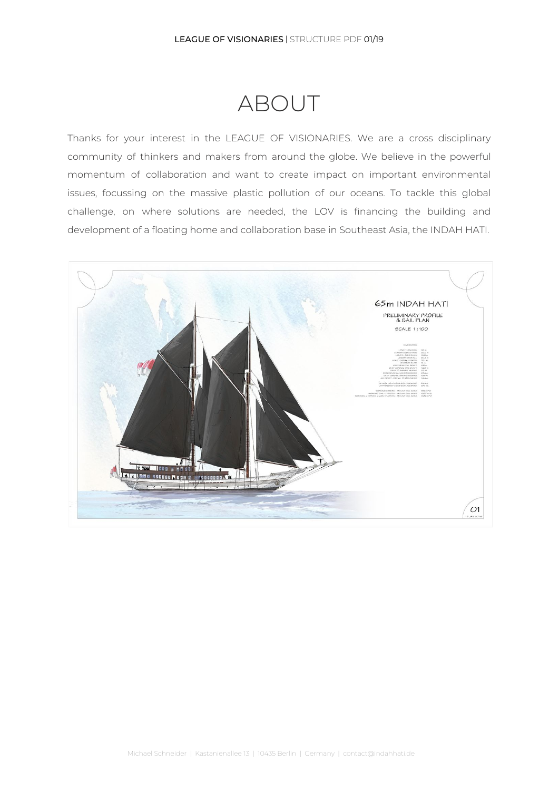## ABOUT

Thanks for your interest in the LEAGUE OF VISIONARIES. We are a cross disciplinary community of thinkers and makers from around the globe. We believe in the powerful momentum of collaboration and want to create impact on important environmental issues, focussing on the massive plastic pollution of our oceans. To tackle this global challenge, on where solutions are needed, the LOV is financing the building and development of a floating home and collaboration base in Southeast Asia, the INDAH HATI.

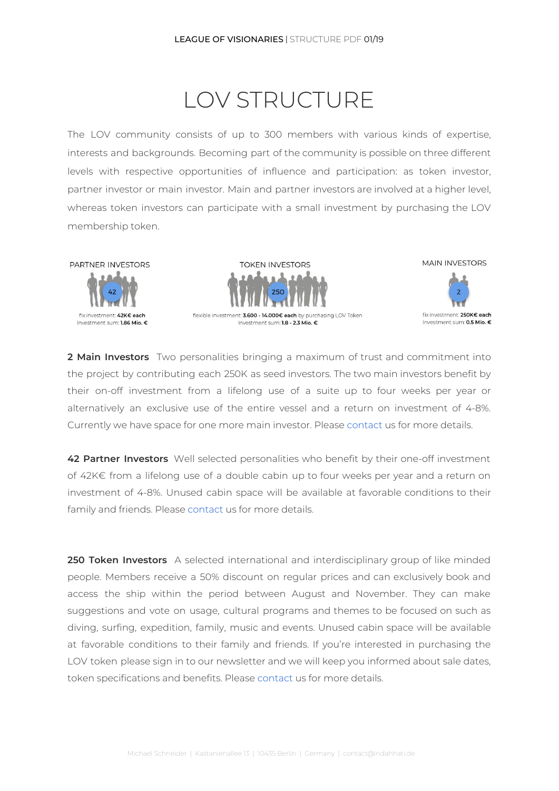# LOV STRUCTURE

The LOV community consists of up to 300 members with various kinds of expertise, interests and backgrounds. Becoming part of the community is possible on three different levels with respective opportunities of influence and participation: as token investor, partner investor or main investor. Main and partner investors are involved at a higher level, whereas token investors can participate with a small investment by purchasing the LOV membership token.







**2 Main Investors** Two personalities bringing a maximum of trust and commitment into the project by contributing each 250K as seed investors. The two main investors benefit by their on-off investment from a lifelong use of a suite up to four weeks per year or alternatively an exclusive use of the entire vessel and a return on investment of 4-8%. Currently we have space for one more main investor. Please [contact](mailto: contact@leagasa.org) us for more details.

**42 Partner Investors** Well selected personalities who benefit by their one-off investment of 42K€ from a lifelong use of a double cabin up to four weeks per year and a return on investment of 4-8%. Unused cabin space will be available at favorable conditions to their family and friends. Please [contact](mailto: contact@leagasa.org) us for more details.

**250 Token Investors** A selected international and interdisciplinary group of like minded people. Members receive a 50% discount on regular prices and can exclusively book and access the ship within the period between August and November. They can make suggestions and vote on usage, cultural programs and themes to be focused on such as diving, surfing, expedition, family, music and events. Unused cabin space will be available at favorable conditions to their family and friends. If you're interested in purchasing the LOV token please sign in to our newsletter and we will keep you informed about sale dates, token specifications and benefits. Please [contact](mailto: contact@leagasa.org) us for more details.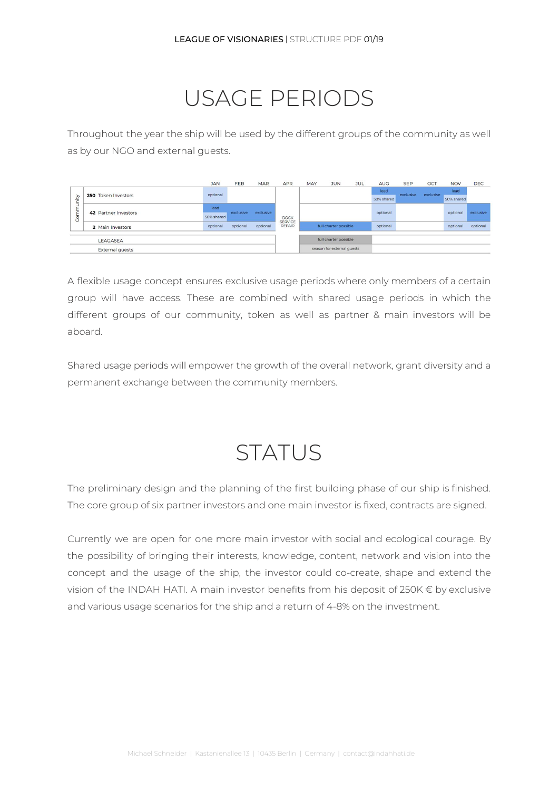## USAGE PERIODS

Throughout the year the ship will be used by the different groups of the community as well as by our NGO and external guests.

|                                                 |                      | <b>JAN</b> | FEB       | <b>MAR</b> | <b>APR</b>                                     | MAY                   | <b>JUN</b>                 | <b>JUL</b> | <b>AUG</b> | <b>SEP</b> | OCT       | <b>NOV</b> | <b>DEC</b> |
|-------------------------------------------------|----------------------|------------|-----------|------------|------------------------------------------------|-----------------------|----------------------------|------------|------------|------------|-----------|------------|------------|
| ήį<br>Ĕ<br>$\overline{\phantom{a}}$<br>╘<br>Com | 250 Token Investors  | optional   |           |            |                                                |                       |                            |            | lead       | exclusive  | exclusive | lead       |            |
|                                                 |                      |            |           |            |                                                |                       |                            |            | 50% shared |            |           | 50% shared |            |
|                                                 | 42 Partner Investors | lead       |           | exclusive  |                                                |                       |                            |            |            |            |           |            |            |
|                                                 |                      | 50% shared | exclusive |            | <b>DOCK</b><br><b>SERVICE</b><br><b>REPAIR</b> |                       |                            |            | optional   |            |           | optional   | exclusive  |
|                                                 | 2 Main Investors     | optional   | optional  | optional   |                                                |                       | full charter possible      |            | optional   |            |           | optional   | optional   |
|                                                 |                      |            |           |            |                                                |                       |                            |            |            |            |           |            |            |
| LEAGASEA                                        |                      |            |           |            |                                                | full charter possible |                            |            |            |            |           |            |            |
| <b>External quests</b>                          |                      |            |           |            |                                                |                       | season for external quests |            |            |            |           |            |            |

A flexible usage concept ensures exclusive usage periods where only members of a certain group will have access. These are combined with shared usage periods in which the different groups of our community, token as well as partner & main investors will be aboard.

Shared usage periods will empower the growth of the overall network, grant diversity and a permanent exchange between the community members.

## **STATUS**

The preliminary design and the planning of the first building phase of our ship is finished. The core group of six partner investors and one main investor is fixed, contracts are signed.

Currently we are open for one more main investor with social and ecological courage. By the possibility of bringing their interests, knowledge, content, network and vision into the concept and the usage of the ship, the investor could co-create, shape and extend the vision of the INDAH HATI. A main investor benefits from his deposit of 250K € by exclusive and various usage scenarios for the ship and a return of 4-8% on the investment.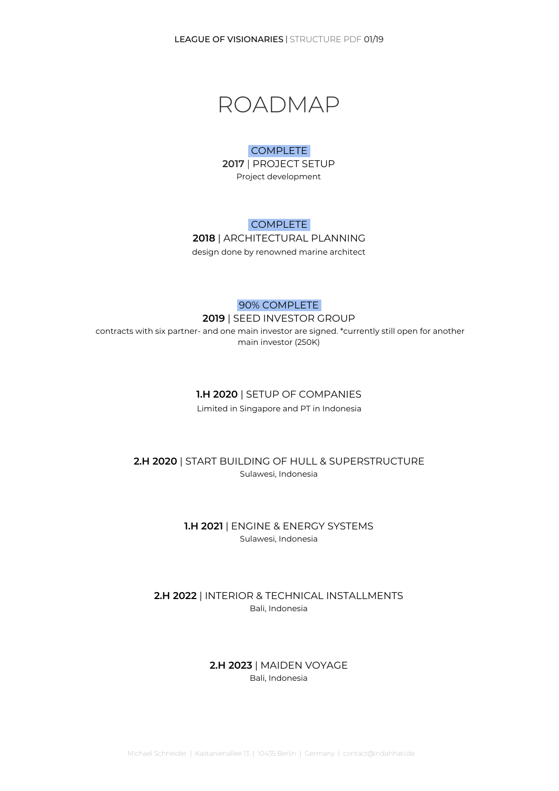LEAGUE OF VISIONARIES | STRUCTURE PDF 01/19



#### COMPLETE

**2017** | PROJECT SETUP Project development

### COMPLETE

**2018** | ARCHITECTURAL PLANNING design done by renowned marine architect

## 90% COMPLETE **2019** | SEED INVESTOR GROUP contracts with six partner- and one main investor are signed. \*currently still open for another main investor (250K)

#### **1.H 2020** | SETUP OF COMPANIES

Limited in Singapore and PT in Indonesia

### **2.H 2020** | START BUILDING OF HULL & SUPERSTRUCTURE Sulawesi, Indonesia

### **1.H 2021** | ENGINE & ENERGY SYSTEMS Sulawesi, Indonesia

## **2.H 2022** | INTERIOR & TECHNICAL INSTALLMENTS Bali, Indonesia

## **2.H 2023** | MAIDEN VOYAGE Bali, Indonesia

Michael Schneider | Kastanienallee 13 | 10435 Berlin | Germany | contact@indahhati.de